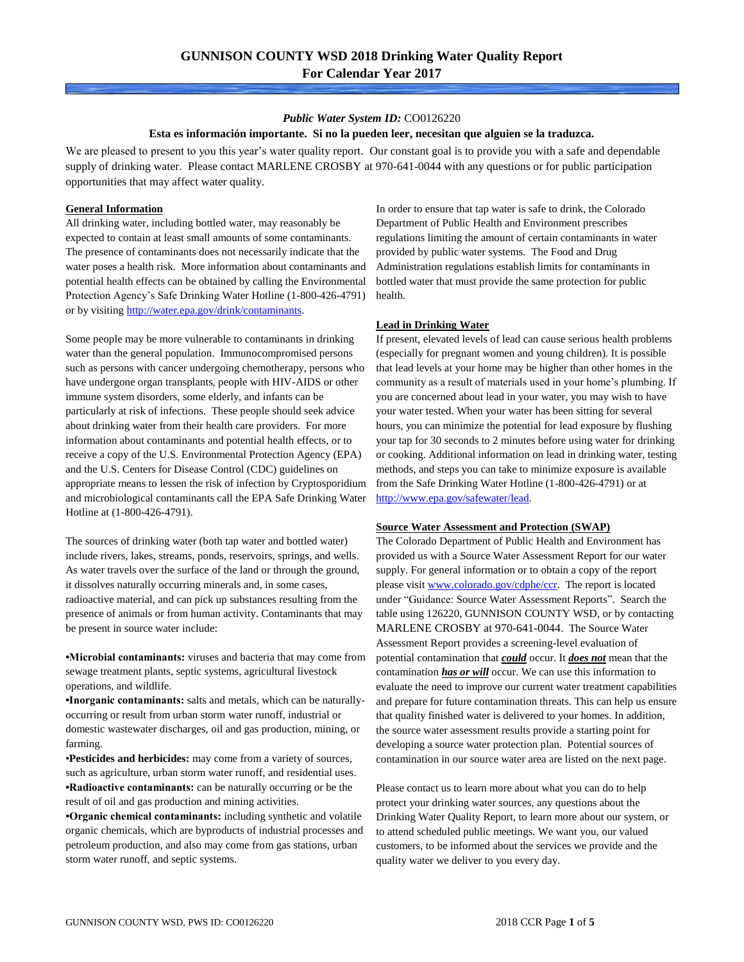#### *Public Water System ID:* CO0126220

#### **Esta es información importante. Si no la pueden leer, necesitan que alguien se la traduzca.**

We are pleased to present to you this year's water quality report. Our constant goal is to provide you with a safe and dependable supply of drinking water. Please contact MARLENE CROSBY at 970-641-0044 with any questions or for public participation opportunities that may affect water quality.

#### **General Information**

All drinking water, including bottled water, may reasonably be expected to contain at least small amounts of some contaminants. The presence of contaminants does not necessarily indicate that the water poses a health risk. More information about contaminants and potential health effects can be obtained by calling the Environmental Protection Agency's Safe Drinking Water Hotline (1-800-426-4791) or by visiting [http://water.epa.gov/drink/contaminants.](http://water.epa.gov/drink/contaminants)

Some people may be more vulnerable to contaminants in drinking water than the general population. Immunocompromised persons such as persons with cancer undergoing chemotherapy, persons who have undergone organ transplants, people with HIV-AIDS or other immune system disorders, some elderly, and infants can be particularly at risk of infections. These people should seek advice about drinking water from their health care providers. For more information about contaminants and potential health effects, or to receive a copy of the U.S. Environmental Protection Agency (EPA) and the U.S. Centers for Disease Control (CDC) guidelines on appropriate means to lessen the risk of infection by Cryptosporidium and microbiological contaminants call the EPA Safe Drinking Water Hotline at (1-800-426-4791).

The sources of drinking water (both tap water and bottled water) include rivers, lakes, streams, ponds, reservoirs, springs, and wells. As water travels over the surface of the land or through the ground, it dissolves naturally occurring minerals and, in some cases, radioactive material, and can pick up substances resulting from the presence of animals or from human activity. Contaminants that may be present in source water include:

**•Microbial contaminants:** viruses and bacteria that may come from sewage treatment plants, septic systems, agricultural livestock operations, and wildlife.

**•Inorganic contaminants:** salts and metals, which can be naturallyoccurring or result from urban storm water runoff, industrial or domestic wastewater discharges, oil and gas production, mining, or farming.

•**Pesticides and herbicides:** may come from a variety of sources, such as agriculture, urban storm water runoff, and residential uses. **•Radioactive contaminants:** can be naturally occurring or be the result of oil and gas production and mining activities.

**•Organic chemical contaminants:** including synthetic and volatile organic chemicals, which are byproducts of industrial processes and petroleum production, and also may come from gas stations, urban storm water runoff, and septic systems.

In order to ensure that tap water is safe to drink, the Colorado Department of Public Health and Environment prescribes regulations limiting the amount of certain contaminants in water provided by public water systems. The Food and Drug Administration regulations establish limits for contaminants in bottled water that must provide the same protection for public health.

### **Lead in Drinking Water**

If present, elevated levels of lead can cause serious health problems (especially for pregnant women and young children). It is possible that lead levels at your home may be higher than other homes in the community as a result of materials used in your home's plumbing. If you are concerned about lead in your water, you may wish to have your water tested. When your water has been sitting for several hours, you can minimize the potential for lead exposure by flushing your tap for 30 seconds to 2 minutes before using water for drinking or cooking. Additional information on lead in drinking water, testing methods, and steps you can take to minimize exposure is available from the Safe Drinking Water Hotline (1-800-426-4791) or at [http://www.epa.gov/safewater/lead.](http://www.epa.gov/safewater/lead)

#### **Source Water Assessment and Protection (SWAP)**

The Colorado Department of Public Health and Environment has provided us with a Source Water Assessment Report for our water supply. For general information or to obtain a copy of the report please visit [www.colorado.gov/cdphe/ccr.](https://www.colorado.gov/cdphe/ccr) The report is located under "Guidance: Source Water Assessment Reports". Search the table using 126220, GUNNISON COUNTY WSD, or by contacting MARLENE CROSBY at 970-641-0044. The Source Water Assessment Report provides a screening-level evaluation of potential contamination that *could* occur. It *does not* mean that the contamination *has or will* occur. We can use this information to evaluate the need to improve our current water treatment capabilities and prepare for future contamination threats. This can help us ensure that quality finished water is delivered to your homes. In addition, the source water assessment results provide a starting point for developing a source water protection plan. Potential sources of contamination in our source water area are listed on the next page.

Please contact us to learn more about what you can do to help protect your drinking water sources, any questions about the Drinking Water Quality Report, to learn more about our system, or to attend scheduled public meetings. We want you, our valued customers, to be informed about the services we provide and the quality water we deliver to you every day.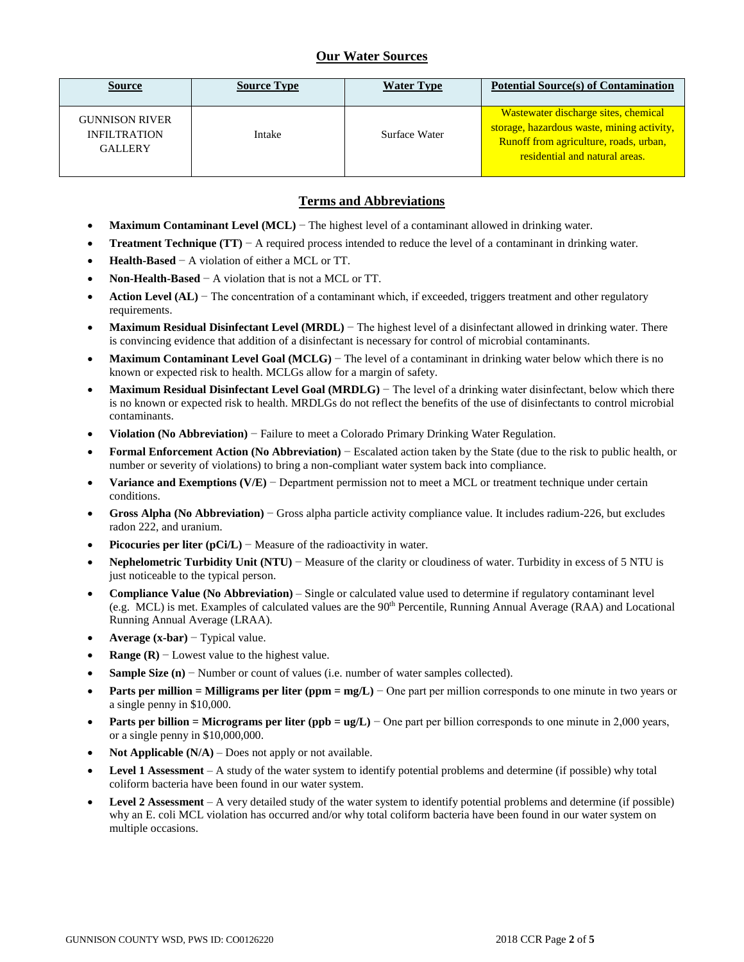## **Our Water Sources**

| <b>Source</b>                                                  | <b>Source Type</b> | <b>Water Type</b> | <b>Potential Source(s) of Contamination</b>                                                                                                                    |
|----------------------------------------------------------------|--------------------|-------------------|----------------------------------------------------------------------------------------------------------------------------------------------------------------|
| <b>GUNNISON RIVER</b><br><b>INFILTRATION</b><br><b>GALLERY</b> | Intake             | Surface Water     | Wastewater discharge sites, chemical<br>storage, hazardous waste, mining activity,<br>Runoff from agriculture, roads, urban,<br>residential and natural areas. |

### **Terms and Abbreviations**

- **Maximum Contaminant Level (MCL)** − The highest level of a contaminant allowed in drinking water.
- **Treatment Technique (TT)** − A required process intended to reduce the level of a contaminant in drinking water.
- **Health-Based** − A violation of either a MCL or TT.
- **Non-Health-Based** − A violation that is not a MCL or TT.
- **Action Level (AL)** − The concentration of a contaminant which, if exceeded, triggers treatment and other regulatory requirements.
- **Maximum Residual Disinfectant Level (MRDL)** − The highest level of a disinfectant allowed in drinking water. There is convincing evidence that addition of a disinfectant is necessary for control of microbial contaminants.
- **Maximum Contaminant Level Goal (MCLG)** − The level of a contaminant in drinking water below which there is no known or expected risk to health. MCLGs allow for a margin of safety.
- **Maximum Residual Disinfectant Level Goal (MRDLG)** − The level of a drinking water disinfectant, below which there is no known or expected risk to health. MRDLGs do not reflect the benefits of the use of disinfectants to control microbial contaminants.
- **Violation (No Abbreviation)** − Failure to meet a Colorado Primary Drinking Water Regulation.
- **Formal Enforcement Action (No Abbreviation)** − Escalated action taken by the State (due to the risk to public health, or number or severity of violations) to bring a non-compliant water system back into compliance.
- **Variance and Exemptions (V/E)** − Department permission not to meet a MCL or treatment technique under certain conditions.
- **Gross Alpha (No Abbreviation)** − Gross alpha particle activity compliance value. It includes radium-226, but excludes radon 222, and uranium.
- **Picocuries per liter (pCi/L)** − Measure of the radioactivity in water.
- **Nephelometric Turbidity Unit (NTU)** − Measure of the clarity or cloudiness of water. Turbidity in excess of 5 NTU is just noticeable to the typical person.
- **Compliance Value (No Abbreviation)** Single or calculated value used to determine if regulatory contaminant level (e.g. MCL) is met. Examples of calculated values are the 90<sup>th</sup> Percentile, Running Annual Average (RAA) and Locational Running Annual Average (LRAA).
- **Average (x-bar)** − Typical value.
- **Range (R)**  $-$  Lowest value to the highest value.
- **Sample Size (n)** − Number or count of values (i.e. number of water samples collected).
- **Parts per million = Milligrams per liter (ppm = mg/L)** − One part per million corresponds to one minute in two years or a single penny in \$10,000.
- **Parts per billion = Micrograms per liter (ppb = ug/L)** − One part per billion corresponds to one minute in 2,000 years, or a single penny in \$10,000,000.
- **Not Applicable (N/A)** Does not apply or not available.
- **Level 1 Assessment** A study of the water system to identify potential problems and determine (if possible) why total coliform bacteria have been found in our water system.
- **Level 2 Assessment** A very detailed study of the water system to identify potential problems and determine (if possible) why an E. coli MCL violation has occurred and/or why total coliform bacteria have been found in our water system on multiple occasions.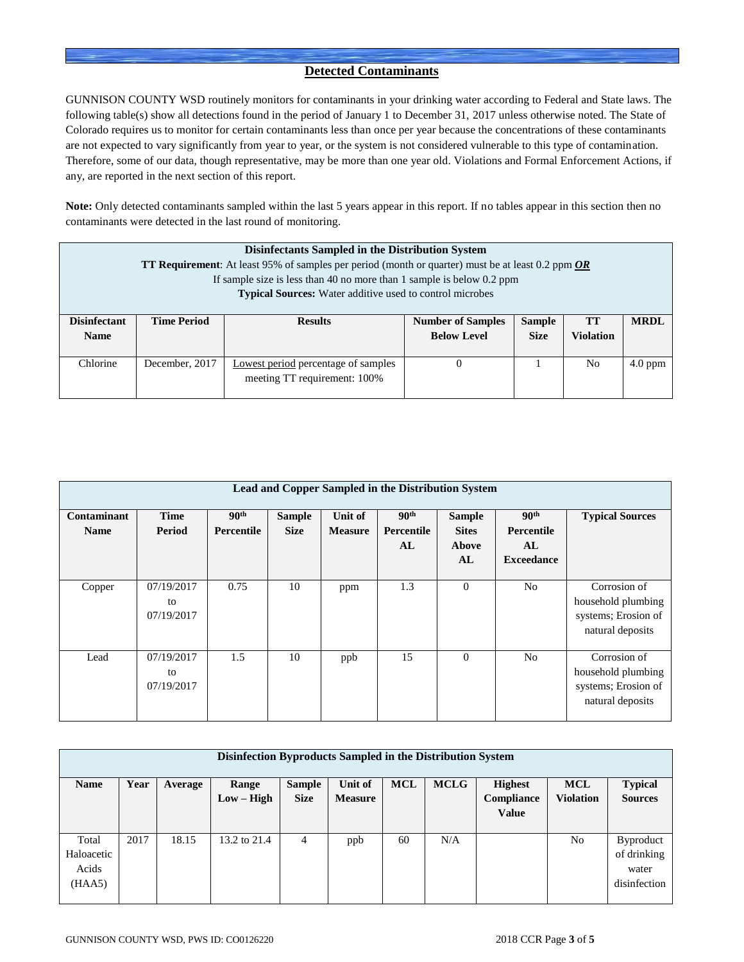### **Detected Contaminants**

GUNNISON COUNTY WSD routinely monitors for contaminants in your drinking water according to Federal and State laws. The following table(s) show all detections found in the period of January 1 to December 31, 2017 unless otherwise noted. The State of Colorado requires us to monitor for certain contaminants less than once per year because the concentrations of these contaminants are not expected to vary significantly from year to year, or the system is not considered vulnerable to this type of contamination. Therefore, some of our data, though representative, may be more than one year old. Violations and Formal Enforcement Actions, if any, are reported in the next section of this report.

**Note:** Only detected contaminants sampled within the last 5 years appear in this report. If no tables appear in this section then no contaminants were detected in the last round of monitoring.

|                                                                                                                                         | Disinfectants Sampled in the Distribution System<br><b>TT Requirement</b> : At least 95% of samples per period (month or quarter) must be at least 0.2 ppm <b>OR</b> |                                                                       |                          |               |                  |             |  |  |  |  |
|-----------------------------------------------------------------------------------------------------------------------------------------|----------------------------------------------------------------------------------------------------------------------------------------------------------------------|-----------------------------------------------------------------------|--------------------------|---------------|------------------|-------------|--|--|--|--|
|                                                                                                                                         |                                                                                                                                                                      | If sample size is less than 40 no more than 1 sample is below 0.2 ppm |                          |               |                  |             |  |  |  |  |
|                                                                                                                                         |                                                                                                                                                                      | <b>Typical Sources:</b> Water additive used to control microbes       |                          |               |                  |             |  |  |  |  |
| <b>Disinfectant</b>                                                                                                                     | <b>Time Period</b>                                                                                                                                                   | <b>Results</b>                                                        | <b>Number of Samples</b> | <b>Sample</b> | <b>TT</b>        | <b>MRDL</b> |  |  |  |  |
| <b>Name</b>                                                                                                                             |                                                                                                                                                                      |                                                                       | <b>Below Level</b>       | <b>Size</b>   | <b>Violation</b> |             |  |  |  |  |
| Chlorine<br>N <sub>0</sub><br>December, 2017<br><b>Lowest period</b> percentage of samples<br>$4.0$ ppm<br>meeting TT requirement: 100% |                                                                                                                                                                      |                                                                       |                          |               |                  |             |  |  |  |  |

|                            | Lead and Copper Sampled in the Distribution System |                                       |                              |                           |                                      |                                              |                                                           |                                                                               |  |  |  |
|----------------------------|----------------------------------------------------|---------------------------------------|------------------------------|---------------------------|--------------------------------------|----------------------------------------------|-----------------------------------------------------------|-------------------------------------------------------------------------------|--|--|--|
| Contaminant<br><b>Name</b> | <b>Time</b><br>Period                              | 90 <sup>th</sup><br><b>Percentile</b> | <b>Sample</b><br><b>Size</b> | Unit of<br><b>Measure</b> | 90 <sup>th</sup><br>Percentile<br>AL | <b>Sample</b><br><b>Sites</b><br>Above<br>AL | 90 <sup>th</sup><br>Percentile<br>AL<br><b>Exceedance</b> | <b>Typical Sources</b>                                                        |  |  |  |
| Copper                     | 07/19/2017<br>to<br>07/19/2017                     | 0.75                                  | 10                           | ppm                       | 1.3                                  | $\mathbf{0}$                                 | N <sub>0</sub>                                            | Corrosion of<br>household plumbing<br>systems; Erosion of<br>natural deposits |  |  |  |
| Lead                       | 07/19/2017<br>to<br>07/19/2017                     | 1.5                                   | 10                           | ppb                       | 15                                   | $\mathbf{0}$                                 | No                                                        | Corrosion of<br>household plumbing<br>systems; Erosion of<br>natural deposits |  |  |  |

| Disinfection Byproducts Sampled in the Distribution System |      |         |              |               |                |            |             |                |                  |                  |
|------------------------------------------------------------|------|---------|--------------|---------------|----------------|------------|-------------|----------------|------------------|------------------|
| <b>Name</b>                                                | Year | Average | Range        | <b>Sample</b> | Unit of        | <b>MCL</b> | <b>MCLG</b> | <b>Highest</b> | <b>MCL</b>       | <b>Typical</b>   |
|                                                            |      |         | $Low - High$ | <b>Size</b>   | <b>Measure</b> |            |             | Compliance     | <b>Violation</b> | <b>Sources</b>   |
|                                                            |      |         |              |               |                |            |             | <b>Value</b>   |                  |                  |
|                                                            |      |         |              |               |                |            |             |                |                  |                  |
| Total                                                      | 2017 | 18.15   | 13.2 to 21.4 | 4             | ppb            | 60         | N/A         |                | No               | <b>Byproduct</b> |
| Haloacetic                                                 |      |         |              |               |                |            |             |                |                  | of drinking      |
| Acids                                                      |      |         |              |               |                |            |             |                |                  | water            |
| (HAA5)                                                     |      |         |              |               |                |            |             |                |                  | disinfection     |
|                                                            |      |         |              |               |                |            |             |                |                  |                  |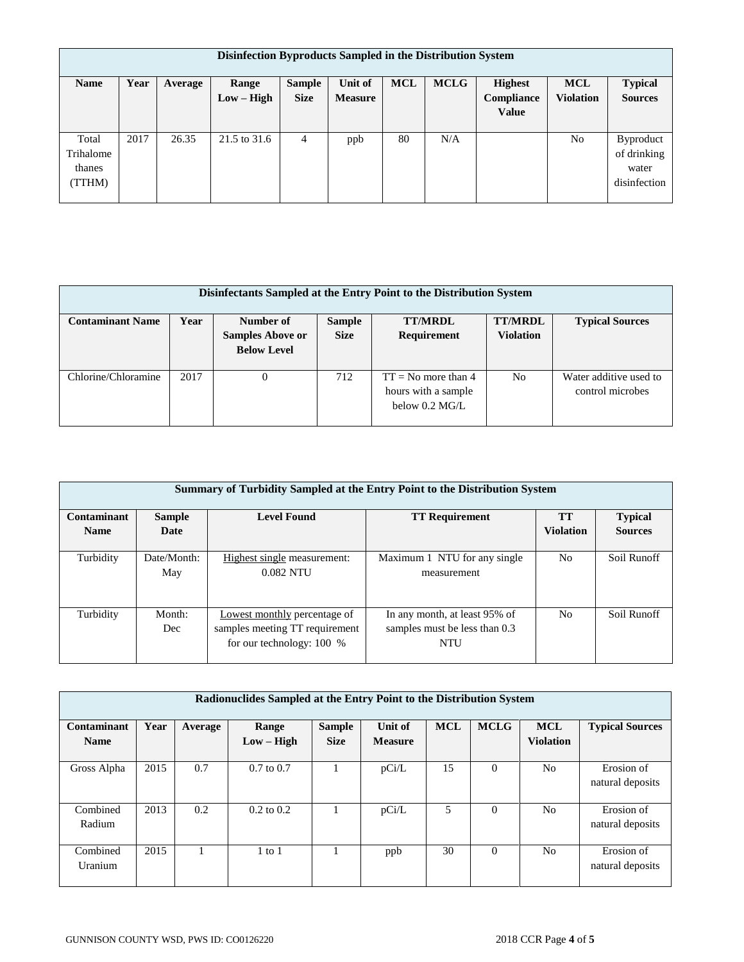| Disinfection Byproducts Sampled in the Distribution System |      |         |              |               |                |            |             |                |                  |                  |
|------------------------------------------------------------|------|---------|--------------|---------------|----------------|------------|-------------|----------------|------------------|------------------|
| <b>Name</b>                                                | Year | Average | Range        | <b>Sample</b> | Unit of        | <b>MCL</b> | <b>MCLG</b> | <b>Highest</b> | <b>MCL</b>       | <b>Typical</b>   |
|                                                            |      |         | $Low - High$ | <b>Size</b>   | <b>Measure</b> |            |             | Compliance     | <b>Violation</b> | <b>Sources</b>   |
|                                                            |      |         |              |               |                |            |             | <b>Value</b>   |                  |                  |
|                                                            |      |         |              |               |                |            |             |                |                  |                  |
| Total                                                      | 2017 | 26.35   | 21.5 to 31.6 | 4             | ppb            | 80         | N/A         |                | No               | <b>Byproduct</b> |
| Trihalome                                                  |      |         |              |               |                |            |             |                |                  | of drinking      |
| thanes                                                     |      |         |              |               |                |            |             |                |                  | water            |
| TTHM)                                                      |      |         |              |               |                |            |             |                |                  | disinfection     |
|                                                            |      |         |              |               |                |            |             |                |                  |                  |

| Disinfectants Sampled at the Entry Point to the Distribution System |      |                         |               |                         |                  |                        |  |  |  |  |
|---------------------------------------------------------------------|------|-------------------------|---------------|-------------------------|------------------|------------------------|--|--|--|--|
| <b>Contaminant Name</b>                                             | Year | Number of               | <b>Sample</b> | <b>TT/MRDL</b>          | <b>TT/MRDL</b>   | <b>Typical Sources</b> |  |  |  |  |
|                                                                     |      | <b>Samples Above or</b> | <b>Size</b>   | Requirement             | <b>Violation</b> |                        |  |  |  |  |
|                                                                     |      | <b>Below Level</b>      |               |                         |                  |                        |  |  |  |  |
| Chlorine/Chloramine                                                 | 2017 |                         | 712           | $TT = No$ more than 4   | No               | Water additive used to |  |  |  |  |
|                                                                     |      |                         |               | hours with a sample     |                  | control microbes       |  |  |  |  |
|                                                                     |      |                         |               | below $0.2 \text{ MGL}$ |                  |                        |  |  |  |  |
|                                                                     |      |                         |               |                         |                  |                        |  |  |  |  |

|             | Summary of Turbidity Sampled at the Entry Point to the Distribution System |                                                                                               |                                                                       |                  |                |  |  |  |  |  |  |
|-------------|----------------------------------------------------------------------------|-----------------------------------------------------------------------------------------------|-----------------------------------------------------------------------|------------------|----------------|--|--|--|--|--|--|
| Contaminant | <b>Sample</b>                                                              | <b>Level Found</b>                                                                            | <b>TT Requirement</b>                                                 | TТ               | <b>Typical</b> |  |  |  |  |  |  |
| <b>Name</b> | Date                                                                       |                                                                                               |                                                                       | <b>Violation</b> | <b>Sources</b> |  |  |  |  |  |  |
| Turbidity   | Date/Month:<br>May                                                         | Highest single measurement:<br>0.082 NTU                                                      | Maximum 1 NTU for any single<br>measurement                           | N <sub>0</sub>   | Soil Runoff    |  |  |  |  |  |  |
| Turbidity   | Month:<br>Dec                                                              | Lowest monthly percentage of<br>samples meeting TT requirement<br>for our technology: $100\%$ | In any month, at least 95% of<br>samples must be less than 0.3<br>NTU | N <sub>o</sub>   | Soil Runoff    |  |  |  |  |  |  |

|                            | Radionuclides Sampled at the Entry Point to the Distribution System |         |                       |                              |                           |            |             |                                |                                |  |  |
|----------------------------|---------------------------------------------------------------------|---------|-----------------------|------------------------------|---------------------------|------------|-------------|--------------------------------|--------------------------------|--|--|
| Contaminant<br><b>Name</b> | Year                                                                | Average | Range<br>$Low - High$ | <b>Sample</b><br><b>Size</b> | Unit of<br><b>Measure</b> | <b>MCL</b> | <b>MCLG</b> | <b>MCL</b><br><b>Violation</b> | <b>Typical Sources</b>         |  |  |
| Gross Alpha                | 2015                                                                | 0.7     | $0.7$ to $0.7$        |                              | pCi/L                     | 15         | $\Omega$    | N <sub>0</sub>                 | Erosion of<br>natural deposits |  |  |
| Combined<br>Radium         | 2013                                                                | 0.2     | $0.2$ to $0.2$        |                              | pCi/L                     | 5          | $\theta$    | N <sub>0</sub>                 | Erosion of<br>natural deposits |  |  |
| Combined<br>Uranium        | 2015                                                                |         | $1$ to $1$            |                              | ppb                       | 30         | $\Omega$    | N <sub>0</sub>                 | Erosion of<br>natural deposits |  |  |